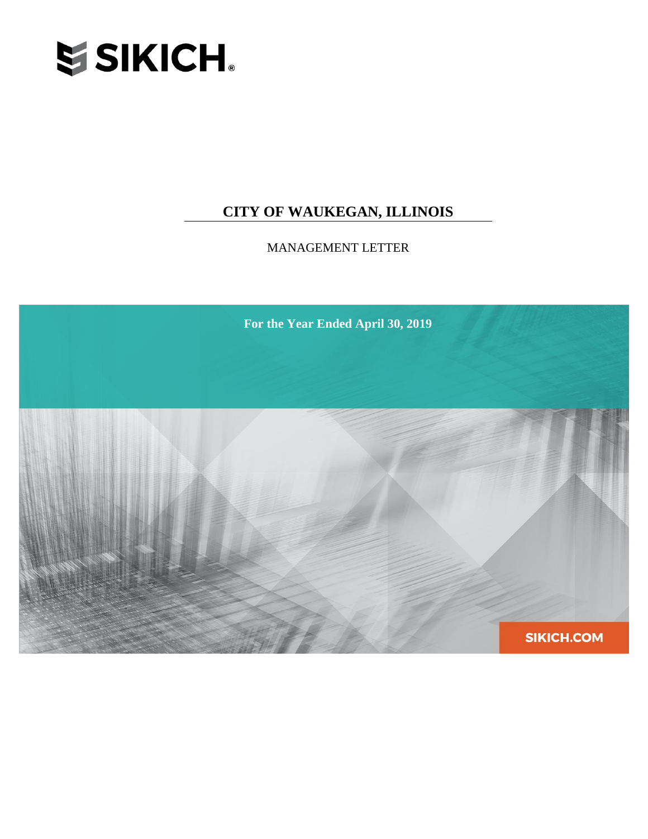

# **CITY OF WAUKEGAN, ILLINOIS**

MANAGEMENT LETTER

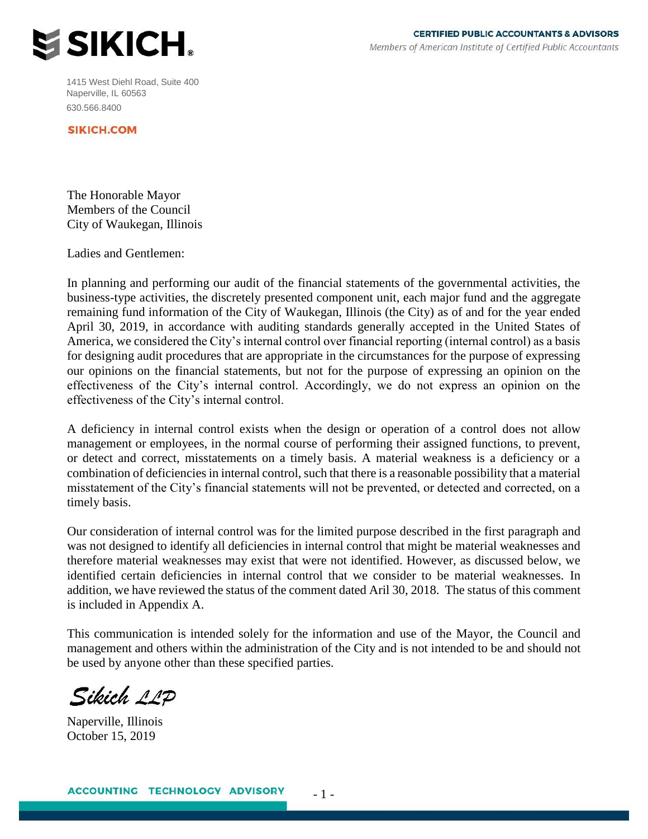

1415 West Diehl Road, Suite 400 Naperville, IL 60563 630.566.8400

**SIKICH.COM** 

The Honorable Mayor Members of the Council City of Waukegan, Illinois

Ladies and Gentlemen:

In planning and performing our audit of the financial statements of the governmental activities, the business-type activities, the discretely presented component unit, each major fund and the aggregate remaining fund information of the City of Waukegan, Illinois (the City) as of and for the year ended April 30, 2019, in accordance with auditing standards generally accepted in the United States of America, we considered the City's internal control over financial reporting (internal control) as a basis for designing audit procedures that are appropriate in the circumstances for the purpose of expressing our opinions on the financial statements, but not for the purpose of expressing an opinion on the effectiveness of the City's internal control. Accordingly, we do not express an opinion on the effectiveness of the City's internal control.

A deficiency in internal control exists when the design or operation of a control does not allow management or employees, in the normal course of performing their assigned functions, to prevent, or detect and correct, misstatements on a timely basis. A material weakness is a deficiency or a combination of deficiencies in internal control, such that there is a reasonable possibility that a material misstatement of the City's financial statements will not be prevented, or detected and corrected, on a timely basis.

Our consideration of internal control was for the limited purpose described in the first paragraph and was not designed to identify all deficiencies in internal control that might be material weaknesses and therefore material weaknesses may exist that were not identified. However, as discussed below, we identified certain deficiencies in internal control that we consider to be material weaknesses. In addition, we have reviewed the status of the comment dated Aril 30, 2018. The status of this comment is included in Appendix A.

This communication is intended solely for the information and use of the Mayor, the Council and management and others within the administration of the City and is not intended to be and should not be used by anyone other than these specified parties.

- 1 -

Sileich 11D

Naperville, Illinois October 15, 2019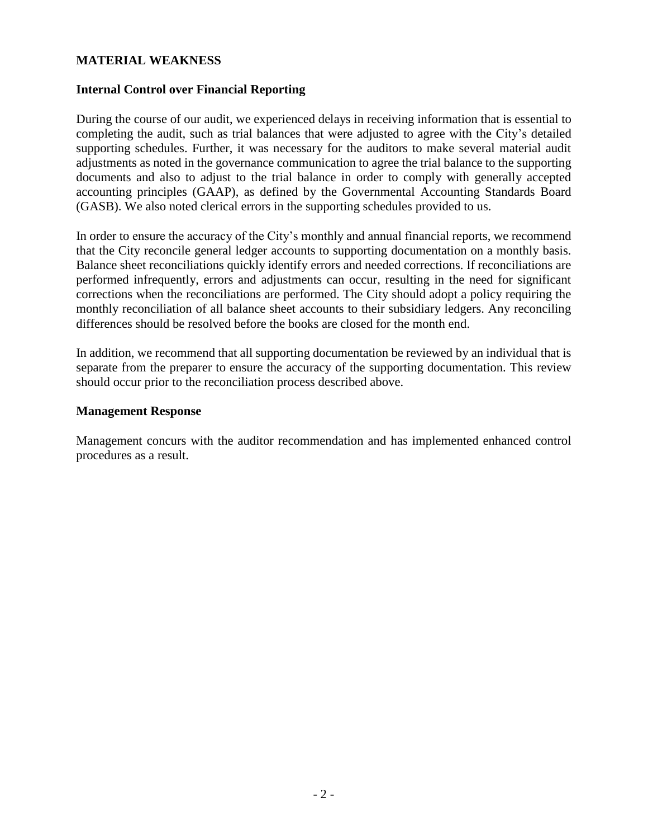## **MATERIAL WEAKNESS**

## **Internal Control over Financial Reporting**

During the course of our audit, we experienced delays in receiving information that is essential to completing the audit, such as trial balances that were adjusted to agree with the City's detailed supporting schedules. Further, it was necessary for the auditors to make several material audit adjustments as noted in the governance communication to agree the trial balance to the supporting documents and also to adjust to the trial balance in order to comply with generally accepted accounting principles (GAAP), as defined by the Governmental Accounting Standards Board (GASB). We also noted clerical errors in the supporting schedules provided to us.

In order to ensure the accuracy of the City's monthly and annual financial reports, we recommend that the City reconcile general ledger accounts to supporting documentation on a monthly basis. Balance sheet reconciliations quickly identify errors and needed corrections. If reconciliations are performed infrequently, errors and adjustments can occur, resulting in the need for significant corrections when the reconciliations are performed. The City should adopt a policy requiring the monthly reconciliation of all balance sheet accounts to their subsidiary ledgers. Any reconciling differences should be resolved before the books are closed for the month end.

In addition, we recommend that all supporting documentation be reviewed by an individual that is separate from the preparer to ensure the accuracy of the supporting documentation. This review should occur prior to the reconciliation process described above.

### **Management Response**

Management concurs with the auditor recommendation and has implemented enhanced control procedures as a result.